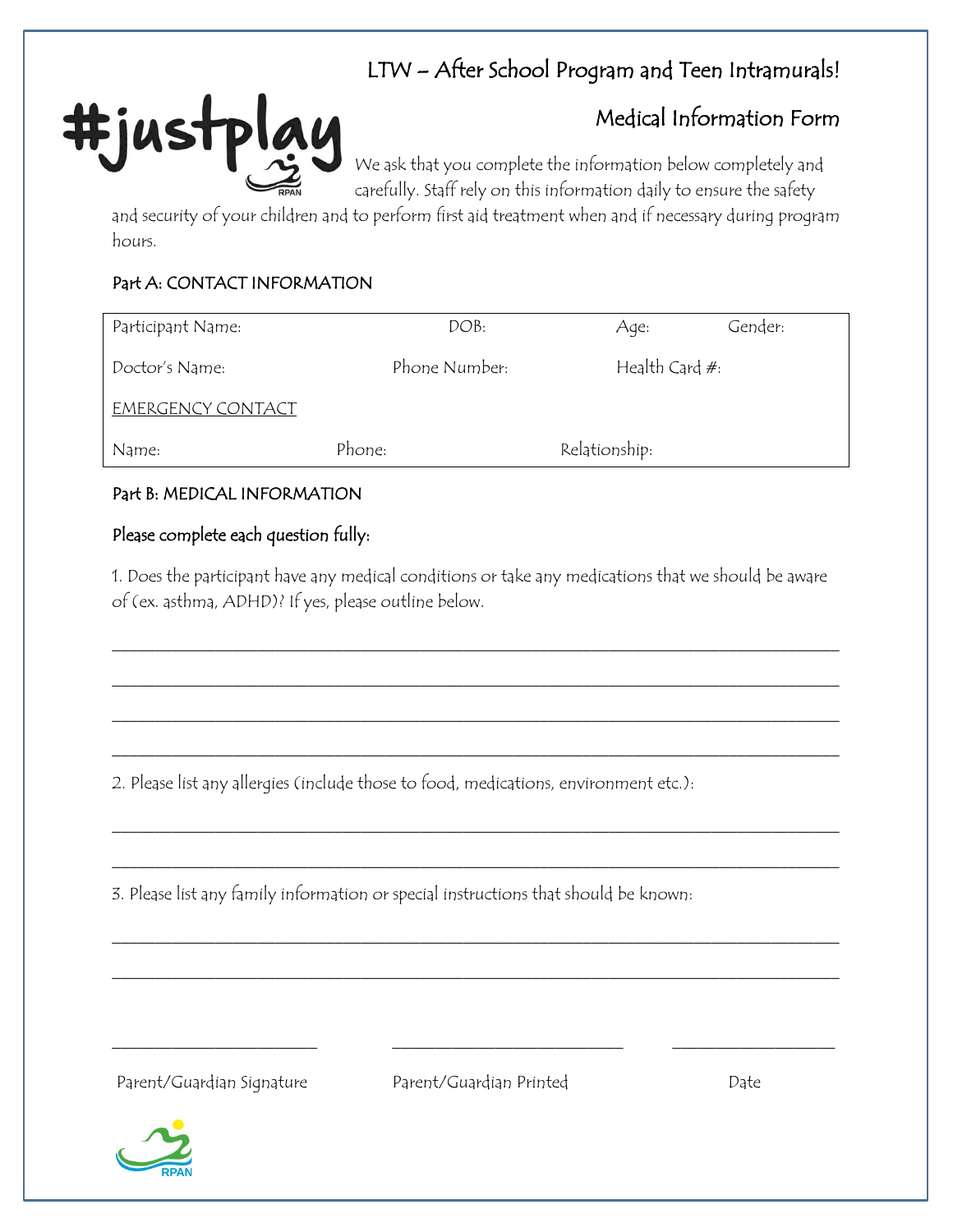# LTW – After School Program and Teen Intramurals!

## Medical Information Form

We ask that you complete the information below completely and carefully. Staff rely on this information daily to ensure the safety

and security of your children and to perform first aid treatment when and if necessary during program hours.

## Part A: CONTACT INFORMATION

#just

| Participant Name: | DOB:          | Gender:<br>Aqe:   |  |
|-------------------|---------------|-------------------|--|
| Doctor's Name:    | Phone Number: | Health Card $#$ : |  |
| EMERGENCY CONTACT |               |                   |  |
| Name:             | Phone:        | Relationship:     |  |

## Part B: MEDICAL INFORMATION

## Please complete each question fully:

1. Does the participant have any medical conditions or take any medications that we should be aware of (ex. asthma, ADHD)? If yes, please outline below.

\_\_\_\_\_\_\_\_\_\_\_\_\_\_\_\_\_\_\_\_\_\_\_\_\_\_\_\_\_\_\_\_\_\_\_\_\_\_\_\_\_\_\_\_\_\_\_\_\_\_\_\_\_\_\_\_\_\_\_\_\_\_\_\_\_\_\_\_\_\_\_\_\_\_\_\_\_\_\_\_\_\_\_\_\_

\_\_\_\_\_\_\_\_\_\_\_\_\_\_\_\_\_\_\_\_\_\_\_\_\_\_\_\_\_\_\_\_\_\_\_\_\_\_\_\_\_\_\_\_\_\_\_\_\_\_\_\_\_\_\_\_\_\_\_\_\_\_\_\_\_\_\_\_\_\_\_\_\_\_\_\_\_\_\_\_\_\_\_\_\_

\_\_\_\_\_\_\_\_\_\_\_\_\_\_\_\_\_\_\_\_\_\_\_\_\_\_\_\_\_\_\_\_\_\_\_\_\_\_\_\_\_\_\_\_\_\_\_\_\_\_\_\_\_\_\_\_\_\_\_\_\_\_\_\_\_\_\_\_\_\_\_\_\_\_\_\_\_\_\_\_\_\_\_\_\_

\_\_\_\_\_\_\_\_\_\_\_\_\_\_\_\_\_\_\_\_\_\_\_\_\_\_\_\_\_\_\_\_\_\_\_\_\_\_\_\_\_\_\_\_\_\_\_\_\_\_\_\_\_\_\_\_\_\_\_\_\_\_\_\_\_\_\_\_\_\_\_\_\_\_\_\_\_\_\_\_\_\_\_\_\_

\_\_\_\_\_\_\_\_\_\_\_\_\_\_\_\_\_\_\_\_\_\_\_\_\_\_\_\_\_\_\_\_\_\_\_\_\_\_\_\_\_\_\_\_\_\_\_\_\_\_\_\_\_\_\_\_\_\_\_\_\_\_\_\_\_\_\_\_\_\_\_\_\_\_\_\_\_\_\_\_\_\_\_\_\_

\_\_\_\_\_\_\_\_\_\_\_\_\_\_\_\_\_\_\_\_\_\_\_\_\_\_\_\_\_\_\_\_\_\_\_\_\_\_\_\_\_\_\_\_\_\_\_\_\_\_\_\_\_\_\_\_\_\_\_\_\_\_\_\_\_\_\_\_\_\_\_\_\_\_\_\_\_\_\_\_\_\_\_\_\_

\_\_\_\_\_\_\_\_\_\_\_\_\_\_\_\_\_\_\_\_\_\_\_\_\_\_\_\_\_\_\_\_\_\_\_\_\_\_\_\_\_\_\_\_\_\_\_\_\_\_\_\_\_\_\_\_\_\_\_\_\_\_\_\_\_\_\_\_\_\_\_\_\_\_\_\_\_\_\_\_\_\_\_\_\_

\_\_\_\_\_\_\_\_\_\_\_\_\_\_\_\_\_\_\_\_\_\_\_\_\_\_\_\_\_\_\_\_\_\_\_\_\_\_\_\_\_\_\_\_\_\_\_\_\_\_\_\_\_\_\_\_\_\_\_\_\_\_\_\_\_\_\_\_\_\_\_\_\_\_\_\_\_\_\_\_\_\_\_\_\_

2. Please list any allergies (include those to food, medications, environment etc.):

3. Please list any family information or special instructions that should be known:

Parent/Guardian Signature Parent/Guardian Printed Date

\_\_\_\_\_\_\_\_\_\_\_\_\_\_\_\_\_\_\_\_\_\_\_\_ \_\_\_\_\_\_\_\_\_\_\_\_\_\_\_\_\_\_\_\_\_\_\_\_\_\_\_ \_\_\_\_\_\_\_\_\_\_\_\_\_\_\_\_\_\_\_